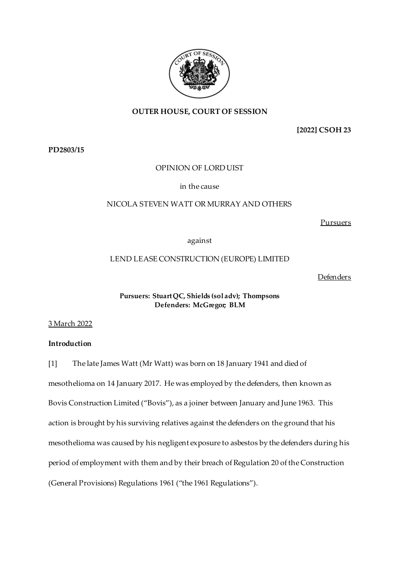

## **OUTER HOUSE, COURT OF SESSION**

**[2022] CSOH 23**

**PD2803/15**

## OPINION OF LORD UIST

in the cause

### NICOLA STEVEN WATT OR MURRAY AND OTHERS

Pursuers

against

## LEND LEASE CONSTRUCTION (EUROPE) LIMITED

Defenders

### **Pursuers: Stuart QC, Shields (sol adv); Thompsons Defenders: McGregor; BLM**

3 March 2022

## **Introduction**

[1] The late James Watt (Mr Watt) was born on 18 January 1941 and died of mesothelioma on 14 January 2017. He was employed by the defenders, then known as Bovis Construction Limited ("Bovis"), as a joiner between January and June 1963. This action is brought by his surviving relatives against the defenders on the ground that his mesothelioma was caused by his negligent exposure to asbestos by the defenders during his period of employment with them and by their breach of Regulation 20 of the Construction (General Provisions) Regulations 1961 ("the 1961 Regulations").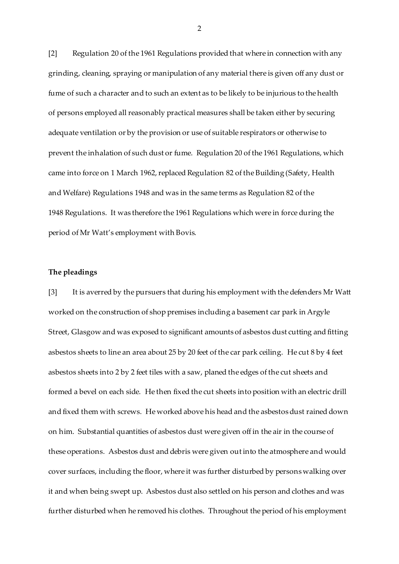[2] Regulation 20 of the 1961 Regulations provided that where in connection with any grinding, cleaning, spraying or manipulation of any material there is given off any dust or fume of such a character and to such an extent as to be likely to be injurious to the health of persons employed all reasonably practical measures shall be taken either by securing adequate ventilation or by the provision or use of suitable respirators or otherwise to prevent the inhalation of such dust or fume. Regulation 20 of the 1961 Regulations, which came into force on 1 March 1962, replaced Regulation 82 of the Building (Safety, Health and Welfare) Regulations 1948 and was in the same terms as Regulation 82 of the 1948 Regulations. It was therefore the 1961 Regulations which were in force during the period of Mr Watt's employment with Bovis.

#### **The pleadings**

[3] It is averred by the pursuers that during his employment with the defenders Mr Watt worked on the construction of shop premises including a basement car park in Argyle Street, Glasgow and was exposed to significant amounts of asbestos dust cutting and fitting asbestos sheets to line an area about 25 by 20 feet of the car park ceiling. He cut 8 by 4 feet asbestos sheets into 2 by 2 feet tiles with a saw, planed the edges of the cut sheets and formed a bevel on each side. He then fixed the cut sheets into position with an electric drill and fixed them with screws. He worked above his head and the asbestos dust rained down on him. Substantial quantities of asbestos dust were given off in the air in the course of these operations. Asbestos dust and debris were given out into the atmosphere and would cover surfaces, including the floor, where it was further disturbed by persons walking over it and when being swept up. Asbestos dust also settled on his person and clothes and was further disturbed when he removed his clothes. Throughout the period of his employment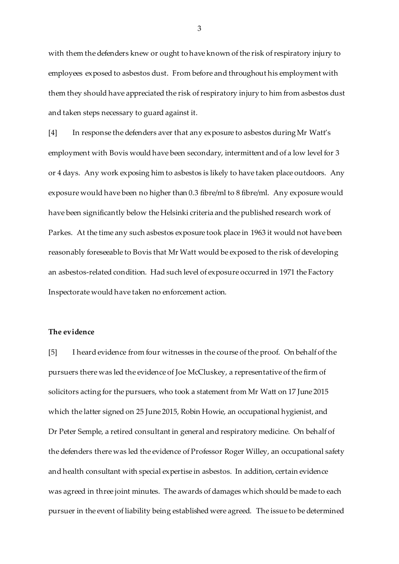with them the defenders knew or ought to have known of the risk of respiratory injury to employees exposed to asbestos dust. From before and throughout his employment with them they should have appreciated the risk of respiratory injury to him from asbestos dust and taken steps necessary to guard against it.

[4] In response the defenders aver that any exposure to asbestos during Mr Watt's employment with Bovis would have been secondary, intermittent and of a low level for 3 or 4 days. Any work exposing him to asbestos is likely to have taken place outdoors. Any exposure would have been no higher than 0.3 fibre/ml to 8 fibre/ml. Any exposure would have been significantly below the Helsinki criteria and the published research work of Parkes. At the time any such asbestos exposure took place in 1963 it would not have been reasonably foreseeable to Bovis that Mr Watt would be exposed to the risk of developing an asbestos-related condition. Had such level of exposure occurred in 1971 the Factory Inspectorate would have taken no enforcement action.

### **The evidence**

[5] I heard evidence from four witnesses in the course of the proof. On behalf of the pursuers there was led the evidence of Joe McCluskey, a representative of the firm of solicitors acting for the pursuers, who took a statement from Mr Watt on 17 June 2015 which the latter signed on 25 June 2015, Robin Howie, an occupational hygienist, and Dr Peter Semple, a retired consultant in general and respiratory medicine. On behalf of the defenders there was led the evidence of Professor Roger Willey, an occupational safety and health consultant with special expertise in asbestos. In addition, certain evidence was agreed in three joint minutes. The awards of damages which should be made to each pursuer in the event of liability being established were agreed. The issue to be determined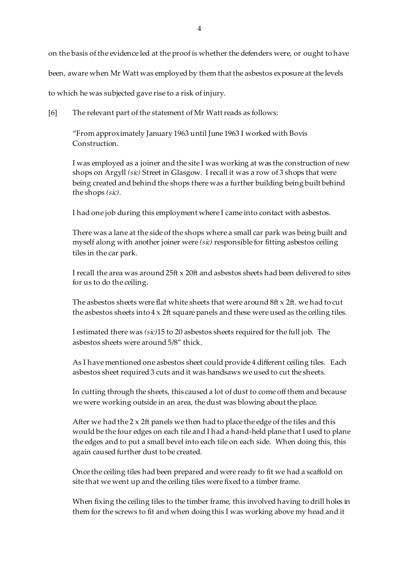on the basis of the evidence led at the proof is whether the defenders were, or ought to have

been, aware when Mr Watt was employed by them that the asbestos exposure at the levels

to which he was subjected gave rise to a risk of injury.

[6] The relevant part of the statement of Mr Watt reads as follows:

"From approximately January 1963 until June 1963 I worked with Bovis Construction.

I was employed as a joiner and the site I was working at was the construction of new shops on Argyll *(sic)* Street in Glasgow. I recall it was a row of 3 shops that were being created and behind the shops there was a further building being built behind the shops *(sic)*.

I had one job during this employment where I came into contact with asbestos.

There was a lane at the side of the shops where a small car park was being built and myself along with another joiner were *(sic)* responsible for fitting asbestos ceiling tiles in the car park.

I recall the area was around 25ft x 20ft and asbestos sheets had been delivered to sites for us to do the ceiling.

The asbestos sheets were flat white sheets that were around 8ft x 2ft. we had to cut the asbestos sheets into 4 x 2ft square panels and these were used as the ceiling tiles.

I estimated there was *(sic)*15 to 20 asbestos sheets required for the full job. The asbestos sheets were around 5/8" thick.

As I have mentioned one asbestos sheet could provide 4 different ceiling tiles. Each asbestos sheet required 3 cuts and it was handsaws we used to cut the sheets.

In cutting through the sheets, this caused a lot of dust to come off them and because we were working outside in an area, the dust was blowing about the place.

After we had the  $2 \times 2$ ft panels we then had to place the edge of the tiles and this would be the four edges on each tile and I had a hand-held plane that I used to plane the edges and to put a small bevel into each tile on each side. When doing this, this again caused further dust to be created.

Once the ceiling tiles had been prepared and were ready to fit we had a scaffold on site that we went up and the ceiling tiles were fixed to a timber frame.

When fixing the ceiling tiles to the timber frame, this involved having to drill holes in them for the screws to fit and when doing this I was working above my head and it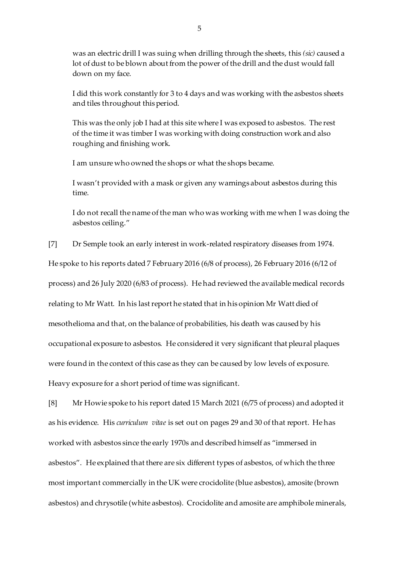was an electric drill I was suing when drilling through the sheets, this *(sic)* caused a lot of dust to be blown about from the power of the drill and the dust would fall down on my face.

I did this work constantly for 3 to 4 days and was working with the asbestos sheets and tiles throughout this period.

This was the only job I had at this site where I was exposed to asbestos. The rest of the time it was timber I was working with doing construction work and also roughing and finishing work.

I am unsure who owned the shops or what the shops became.

I wasn't provided with a mask or given any warnings about asbestos during this time.

I do not recall the name of the man who was working with me when I was doing the asbestos ceiling."

[7] Dr Semple took an early interest in work-related respiratory diseases from 1974.

He spoke to his reports dated 7 February 2016 (6/8 of process), 26 February 2016 (6/12 of process) and 26 July 2020 (6/83 of process). He had reviewed the available medical records relating to Mr Watt. In his last report he stated that in his opinion Mr Watt died of mesothelioma and that, on the balance of probabilities, his death was caused by his occupational exposure to asbestos. He considered it very significant that pleural plaques were found in the context of this case as they can be caused by low levels of exposure.

Heavy exposure for a short period of time was significant.

[8] Mr Howie spoke to his report dated 15 March 2021 (6/75 of process) and adopted it as his evidence. His *curriculum vitae* is set out on pages 29 and 30 of that report. He has worked with asbestos since the early 1970s and described himself as "immersed in asbestos". He explained that there are six different types of asbestos, of which the three most important commercially in the UK were crocidolite (blue asbestos), amosite (brown asbestos) and chrysotile (white asbestos). Crocidolite and amosite are amphibole minerals,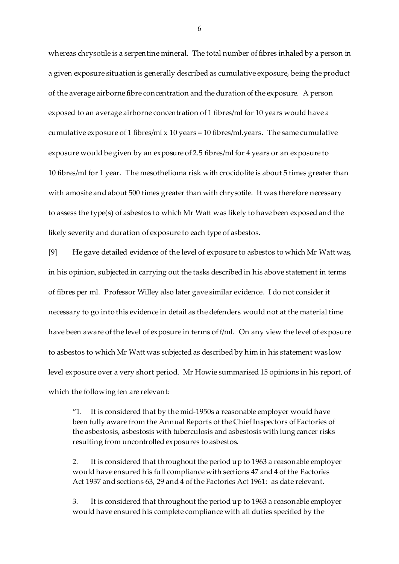whereas chrysotile is a serpentine mineral. The total number of fibres inhaled by a person in a given exposure situation is generally described as cumulative exposure, being the product of the average airborne fibre concentration and the duration of the exposure. A person exposed to an average airborne concentration of 1 fibres/ml for 10 years would have a cumulative exposure of 1 fibres/ml x 10 years = 10 fibres/ml.years. The same cumulative exposure would be given by an exposure of 2.5 fibres/ml for 4 years or an exposure to 10 fibres/ml for 1 year. The mesothelioma risk with crocidolite is about 5 times greater than with amosite and about 500 times greater than with chrysotile. It was therefore necessary to assess the type(s) of asbestos to which Mr Watt was likely to have been exposed and the likely severity and duration of exposure to each type of asbestos.

[9] He gave detailed evidence of the level of exposure to asbestos to which Mr Watt was, in his opinion, subjected in carrying out the tasks described in his above statement in terms of fibres per ml. Professor Willey also later gave similar evidence. I do not consider it necessary to go into this evidence in detail as the defenders would not at the material time have been aware of the level of exposure in terms of f/ml. On any view the level of exposure to asbestos to which Mr Watt was subjected as described by him in his statement was low level exposure over a very short period. Mr Howie summarised 15 opinions in his report, of which the following ten are relevant:

"1. It is considered that by the mid-1950s a reasonable employer would have been fully aware from the Annual Reports of the Chief Inspectors of Factories of the asbestosis, asbestosis with tuberculosis and asbestosis with lung cancer risks resulting from uncontrolled exposures to asbestos.

2. It is considered that throughout the period up to 1963 a reasonable employer would have ensured his full compliance with sections 47 and 4 of the Factories Act 1937 and sections 63, 29 and 4 of the Factories Act 1961: as date relevant.

3. It is considered that throughout the period up to 1963 a reasonable employer would have ensured his complete compliance with all duties specified by the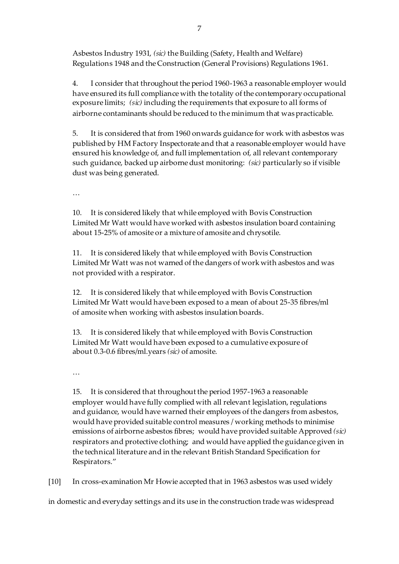Asbestos Industry 1931, *(sic)* the Building (Safety, Health and Welfare) Regulations 1948 and the Construction (General Provisions) Regulations 1961.

4. I consider that throughout the period 1960-1963 a reasonable employer would have ensured its full compliance with the totality of the contemporary occupational exposure limits; *(sic)* including the requirements that exposure to all forms of airborne contaminants should be reduced to the minimum that was practicable.

5. It is considered that from 1960 onwards guidance for work with asbestos was published by HM Factory Inspectorate and that a reasonable employer would have ensured his knowledge of, and full implementation of, all relevant contemporary such guidance, backed up airborne dust monitoring: *(sic)* particularly so if visible dust was being generated.

…

10. It is considered likely that while employed with Bovis Construction Limited Mr Watt would have worked with asbestos insulation board containing about 15-25% of amosite or a mixture of amosite and chrysotile.

11. It is considered likely that while employed with Bovis Construction Limited Mr Watt was not warned of the dangers of work with asbestos and was not provided with a respirator.

12. It is considered likely that while employed with Bovis Construction Limited Mr Watt would have been exposed to a mean of about 25-35 fibres/ml of amosite when working with asbestos insulation boards.

13. It is considered likely that while employed with Bovis Construction Limited Mr Watt would have been exposed to a cumulative exposure of about 0.3-0.6 fibres/ml.years *(sic)* of amosite.

…

15. It is considered that throughout the period 1957-1963 a reasonable employer would have fully complied with all relevant legislation, regulations and guidance, would have warned their employees of the dangers from asbestos, would have provided suitable control measures / working methods to minimise emissions of airborne asbestos fibres; would have provided suitable Approved *(sic)*  respirators and protective clothing; and would have applied the guidance given in the technical literature and in the relevant British Standard Specification for Respirators."

[10] In cross-examination Mr Howie accepted that in 1963 asbestos was used widely

in domestic and everyday settings and its use in the construction trade was widespread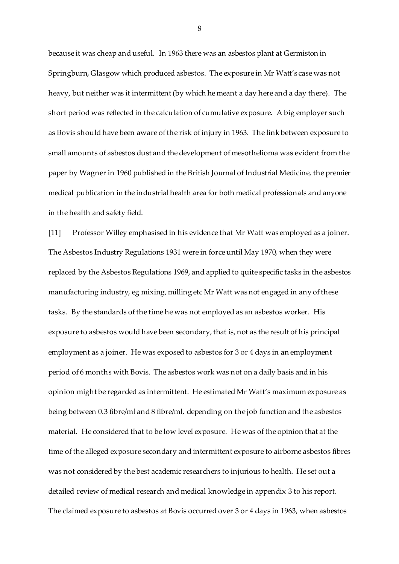because it was cheap and useful. In 1963 there was an asbestos plant at Germiston in Springburn, Glasgow which produced asbestos. The exposure in Mr Watt's case was not heavy, but neither was it intermittent (by which he meant a day here and a day there). The short period was reflected in the calculation of cumulative exposure. A big employer such as Bovis should have been aware of the risk of injury in 1963. The link between exposure to small amounts of asbestos dust and the development of mesothelioma was evident from the paper by Wagner in 1960 published in the British Journal of Industrial Medicine, the premier medical publication in the industrial health area for both medical professionals and anyone in the health and safety field.

[11] Professor Willey emphasised in his evidence that Mr Watt was employed as a joiner. The Asbestos Industry Regulations 1931 were in force until May 1970, when they were replaced by the Asbestos Regulations 1969, and applied to quite specific tasks in the asbestos manufacturing industry, eg mixing, milling etc Mr Watt was not engaged in any of these tasks. By the standards of the time he was not employed as an asbestos worker. His exposure to asbestos would have been secondary, that is, not as the result of his principal employment as a joiner. He was exposed to asbestos for 3 or 4 days in an employment period of 6 months with Bovis. The asbestos work was not on a daily basis and in his opinion might be regarded as intermittent. He estimated Mr Watt's maximum exposure as being between 0.3 fibre/ml and 8 fibre/ml, depending on the job function and the asbestos material. He considered that to be low level exposure. He was of the opinion that at the time of the alleged exposure secondary and intermittent exposure to airborne asbestos fibres was not considered by the best academic researchers to injurious to health. He set out a detailed review of medical research and medical knowledge in appendix 3 to his report. The claimed exposure to asbestos at Bovis occurred over 3 or 4 days in 1963, when asbestos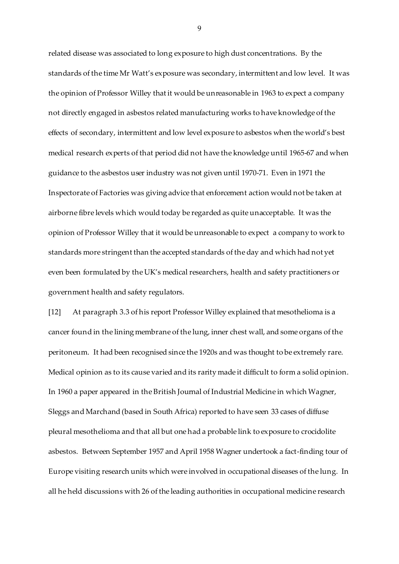related disease was associated to long exposure to high dust concentrations. By the standards of the time Mr Watt's exposure was secondary, intermittent and low level. It was the opinion of Professor Willey that it would be unreasonable in 1963 to expect a company not directly engaged in asbestos related manufacturing works to have knowledge of the effects of secondary, intermittent and low level exposure to asbestos when the world's best medical research experts of that period did not have the knowledge until 1965-67 and when guidance to the asbestos user industry was not given until 1970-71. Even in 1971 the Inspectorate of Factories was giving advice that enforcement action would not be taken at airborne fibre levels which would today be regarded as quite unacceptable. It was the opinion of Professor Willey that it would be unreasonable to expect a company to work to standards more stringent than the accepted standards of the day and which had not yet even been formulated by the UK's medical researchers, health and safety practitioners or government health and safety regulators.

[12] At paragraph 3.3 of his report Professor Willey explained that mesothelioma is a cancer found in the lining membrane of the lung, inner chest wall, and some organs of the peritoneum. It had been recognised since the 1920s and was thought to be extremely rare. Medical opinion as to its cause varied and its rarity made it difficult to form a solid opinion. In 1960 a paper appeared in the British Journal of Industrial Medicine in which Wagner, Sleggs and Marchand (based in South Africa) reported to have seen 33 cases of diffuse pleural mesothelioma and that all but one had a probable link to exposure to crocidolite asbestos. Between September 1957 and April 1958 Wagner undertook a fact-finding tour of Europe visiting research units which were involved in occupational diseases of the lung. In all he held discussions with 26 of the leading authorities in occupational medicine research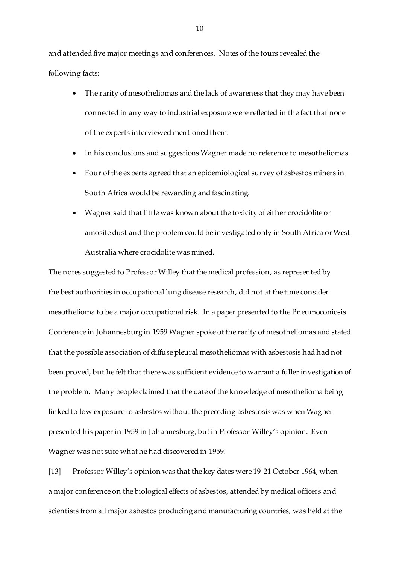and attended five major meetings and conferences. Notes of the tours revealed the following facts:

- The rarity of mesotheliomas and the lack of awareness that they may have been connected in any way to industrial exposure were reflected in the fact that none of the experts interviewed mentioned them.
- In his conclusions and suggestions Wagner made no reference to mesotheliomas.
- Four of the experts agreed that an epidemiological survey of asbestos miners in South Africa would be rewarding and fascinating.
- Wagner said that little was known about the toxicity of either crocidolite or amosite dust and the problem could be investigated only in South Africa or West Australia where crocidolite was mined.

The notes suggested to Professor Willey that the medical profession, as represented by the best authorities in occupational lung disease research, did not at the time consider mesothelioma to be a major occupational risk. In a paper presented to the Pneumoconiosis Conference in Johannesburg in 1959 Wagner spoke of the rarity of mesotheliomas and stated that the possible association of diffuse pleural mesotheliomas with asbestosis had had not been proved, but he felt that there was sufficient evidence to warrant a fuller investigation of the problem. Many people claimed that the date of the knowledge of mesothelioma being linked to low exposure to asbestos without the preceding asbestosis was when Wagner presented his paper in 1959 in Johannesburg, but in Professor Willey's opinion. Even Wagner was not sure what he had discovered in 1959.

[13] Professor Willey's opinion was that the key dates were 19-21 October 1964, when a major conference on the biological effects of asbestos, attended by medical officers and scientists from all major asbestos producing and manufacturing countries, was held at the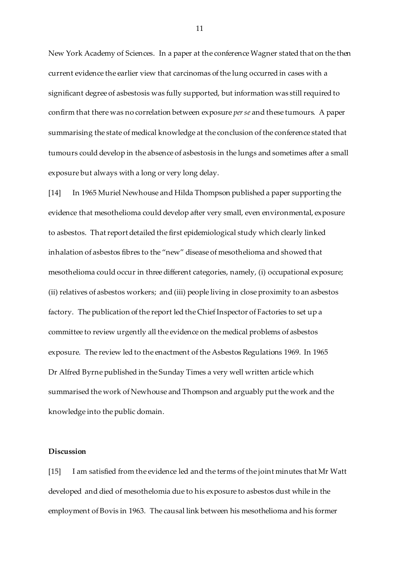New York Academy of Sciences. In a paper at the conference Wagner stated that on the then current evidence the earlier view that carcinomas of the lung occurred in cases with a significant degree of asbestosis was fully supported, but information was still required to confirm that there was no correlation between exposure *per se* and these tumours. A paper summarising the state of medical knowledge at the conclusion of the conference stated that tumours could develop in the absence of asbestosis in the lungs and sometimes after a small exposure but always with a long or very long delay.

[14] In 1965 Muriel Newhouse and Hilda Thompson published a paper supporting the evidence that mesothelioma could develop after very small, even environmental, exposure to asbestos. That report detailed the first epidemiological study which clearly linked inhalation of asbestos fibres to the "new" disease of mesothelioma and showed that mesothelioma could occur in three different categories, namely, (i) occupational exposure; (ii) relatives of asbestos workers; and (iii) people living in close proximity to an asbestos factory. The publication of the report led the Chief Inspector of Factories to set up a committee to review urgently all the evidence on the medical problems of asbestos exposure. The review led to the enactment of the Asbestos Regulations 1969. In 1965 Dr Alfred Byrne published in the Sunday Times a very well written article which summarised the work of Newhouse and Thompson and arguably put the work and the knowledge into the public domain.

### **Discussion**

[15] I am satisfied from the evidence led and the terms of the joint minutes that Mr Watt developed and died of mesothelomia due to his exposure to asbestos dust while in the employment of Bovis in 1963. The causal link between his mesothelioma and his former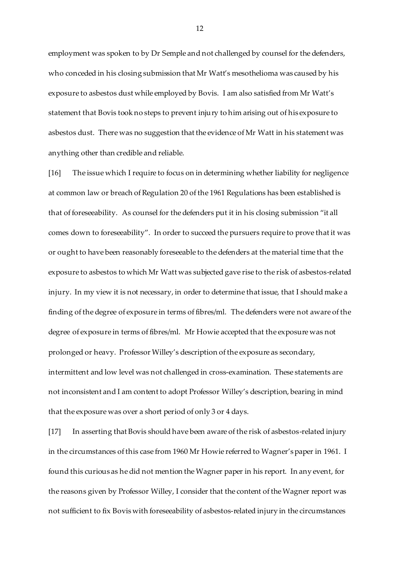employment was spoken to by Dr Semple and not challenged by counsel for the defenders, who conceded in his closing submission that Mr Watt's mesothelioma was caused by his exposure to asbestos dust while employed by Bovis. I am also satisfied from Mr Watt's statement that Bovis took no steps to prevent injury to him arising out of his exposure to asbestos dust. There was no suggestion that the evidence of Mr Watt in his statement was anything other than credible and reliable.

[16] The issue which I require to focus on in determining whether liability for negligence at common law or breach of Regulation 20 of the 1961 Regulations has been established is that of foreseeability. As counsel for the defenders put it in his closing submission "it all comes down to foreseeability". In order to succeed the pursuers require to prove that it was or ought to have been reasonably foreseeable to the defenders at the material time that the exposure to asbestos to which Mr Watt was subjected gave rise to the risk of asbestos-related injury. In my view it is not necessary, in order to determine that issue, that I should make a finding of the degree of exposure in terms of fibres/ml. The defenders were not aware of the degree of exposure in terms of fibres/ml. Mr Howie accepted that the exposure was not prolonged or heavy. Professor Willey's description of the exposure as secondary, intermittent and low level was not challenged in cross-examination. These statements are not inconsistent and I am content to adopt Professor Willey's description, bearing in mind that the exposure was over a short period of only 3 or 4 days.

[17] In asserting that Bovis should have been aware of the risk of asbestos-related injury in the circumstances of this case from 1960 Mr Howie referred to Wagner's paper in 1961. I found this curious as he did not mention the Wagner paper in his report. In any event, for the reasons given by Professor Willey, I consider that the content of the Wagner report was not sufficient to fix Bovis with foreseeability of asbestos-related injury in the circumstances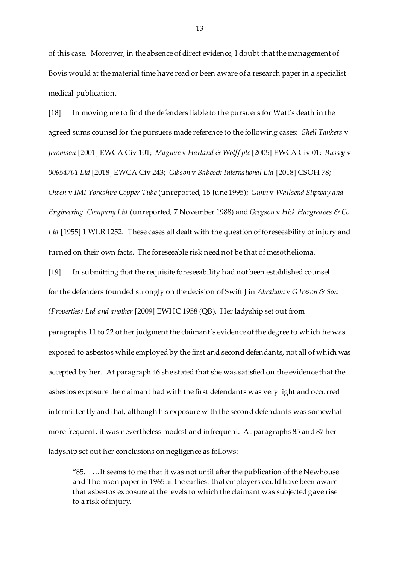of this case. Moreover, in the absence of direct evidence, I doubt that the management of Bovis would at the material time have read or been aware of a research paper in a specialist medical publication.

[18] In moving me to find the defenders liable to the pursuers for Watt's death in the agreed sums counsel for the pursuers made reference to the following cases: *Shell Tankers* v *Jeromson* [2001] EWCA Civ 101; *Maguire* v *Harland & Wolff plc* [2005] EWCA Civ 01; *Bussey* v *00654701 Ltd* [2018] EWCA Civ 243; *Gibson* v *Babcock International Ltd* [2018] CSOH 78; *Owen* v *IMI Yorkshire Copper Tube* (unreported, 15 June 1995); *Gunn* v *Wallsend Slipway and Engineering Company Ltd* (unreported, 7 November 1988) and *Gregson* v *Hick Hargreaves & Co*  Ltd [1955] 1 WLR 1252. These cases all dealt with the question of foreseeability of injury and turned on their own facts. The foreseeable risk need not be that of mesothelioma.

[19] In submitting that the requisite foreseeability had not been established counsel for the defenders founded strongly on the decision of Swift J in *Abraham* v *G Ireson & Son (Properties) Ltd and another* [2009] EWHC 1958 (QB). Her ladyship set out from

paragraphs 11 to 22 of her judgment the claimant's evidence of the degree to which he was exposed to asbestos while employed by the first and second defendants, not all of which was accepted by her. At paragraph 46 she stated that she was satisfied on the evidence that the asbestos exposure the claimant had with the first defendants was very light and occurred intermittently and that, although his exposure with the second defendants was somewhat more frequent, it was nevertheless modest and infrequent. At paragraphs 85 and 87 her ladyship set out her conclusions on negligence as follows:

"85. …It seems to me that it was not until after the publication of the Newhouse and Thomson paper in 1965 at the earliest that employers could have been aware that asbestos exposure at the levels to which the claimant was subjected gave rise to a risk of injury.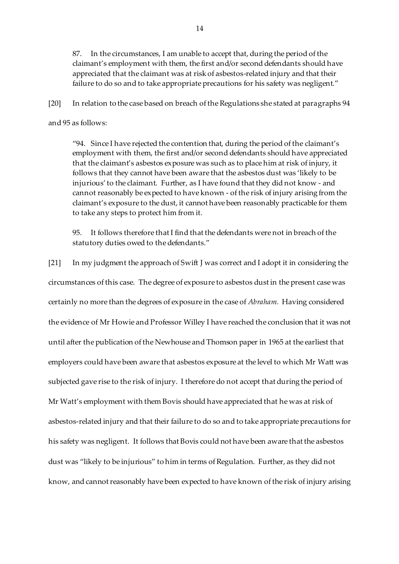87. In the circumstances, I am unable to accept that, during the period of the claimant's employment with them, the first and/or second defendants should have appreciated that the claimant was at risk of asbestos-related injury and that their failure to do so and to take appropriate precautions for his safety was negligent."

[20] In relation to the case based on breach of the Regulations she stated at paragraphs 94

#### and 95 as follows:

"94. Since I have rejected the contention that, during the period of the claimant's employment with them, the first and/or second defendants should have appreciated that the claimant's asbestos exposure was such as to place him at risk of injury, it follows that they cannot have been aware that the asbestos dust was 'likely to be injurious' to the claimant. Further, as I have found that they did not know - and cannot reasonably be expected to have known - of the risk of injury arising from the claimant's exposure to the dust, it cannot have been reasonably practicable for them to take any steps to protect him from it.

95. It follows therefore that I find that the defendants were not in breach of the statutory duties owed to the defendants."

[21] In my judgment the approach of Swift J was correct and I adopt it in considering the circumstances of this case. The degree of exposure to asbestos dust in the present case was certainly no more than the degrees of exposure in the case of *Abraham.* Having considered the evidence of Mr Howie and Professor Willey I have reached the conclusion that it was not until after the publication of the Newhouse and Thomson paper in 1965 at the earliest that employers could have been aware that asbestos exposure at the level to which Mr Watt was subjected gave rise to the risk of injury. I therefore do not accept that during the period of Mr Watt's employment with them Bovis should have appreciated that he was at risk of asbestos-related injury and that their failure to do so and to take appropriate precautions for his safety was negligent. It follows that Bovis could not have been aware that the asbestos dust was "likely to be injurious" to him in terms of Regulation. Further, as they did not know, and cannot reasonably have been expected to have known of the risk of injury arising